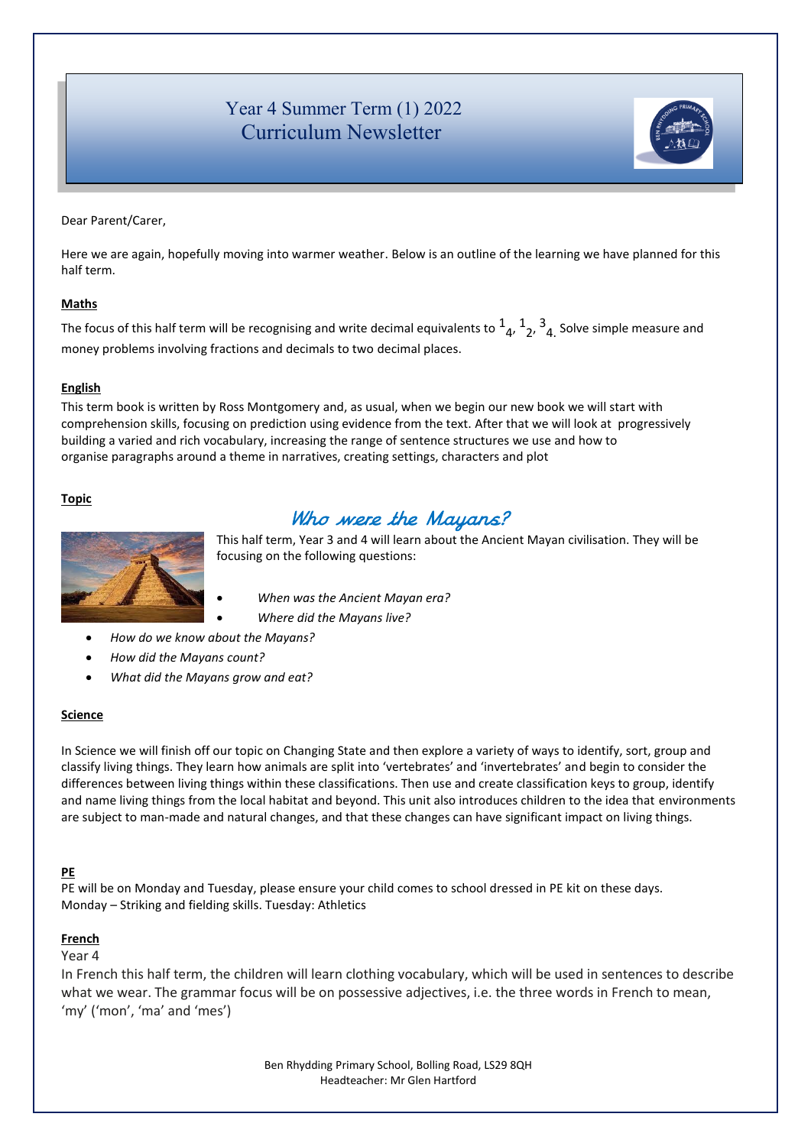# Year 4 Summer Term (1) 2022 Curriculum Newsletter



Dear Parent/Carer,

Here we are again, hopefully moving into warmer weather. Below is an outline of the learning we have planned for this half term.

## **Maths**

The focus of this half term will be recognising and write decimal equivalents to  $1_4$ ,  $1_2$ ,  $3_4$ <sub>.</sub> Solve simple measure and money problems involving fractions and decimals to two decimal places.

### **English**

This term book is written by Ross Montgomery and, as usual, when we begin our new book we will start with comprehension skills, focusing on prediction using evidence from the text. After that we will look at progressively building a varied and rich vocabulary, increasing the range of sentence structures we use and how to organise paragraphs around a theme in narratives, creating settings, characters and plot

### **Topic**



# Who were the Mayans?

This half term, Year 3 and 4 will learn about the Ancient Mayan civilisation. They will be focusing on the following questions:

- *When was the Ancient Mayan era?*
- *Where did the Mayans live?*
- *How do we know about the Mayans?*
- *How did the Mayans count?*
- *What did the Mayans grow and eat?*

#### **Science**

In Science we will finish off our topic on Changing State and then explore a variety of ways to identify, sort, group and classify living things. They learn how animals are split into 'vertebrates' and 'invertebrates' and begin to consider the differences between living things within these classifications. Then use and create classification keys to group, identify and name living things from the local habitat and beyond. This unit also introduces children to the idea that environments are subject to man-made and natural changes, and that these changes can have significant impact on living things.

#### **PE**

PE will be on Monday and Tuesday, please ensure your child comes to school dressed in PE kit on these days. Monday – Striking and fielding skills. Tuesday: Athletics

#### **French**

Year 4

 In French this half term, the children will learn clothing vocabulary, which will be used in sentences to describe what we wear. The grammar focus will be on possessive adjectives, i.e. the three words in French to mean, 'my' ('mon', 'ma' and 'mes')

> Ben Rhydding Primary School, Bolling Road, LS29 8QH Headteacher: Mr Glen Hartford